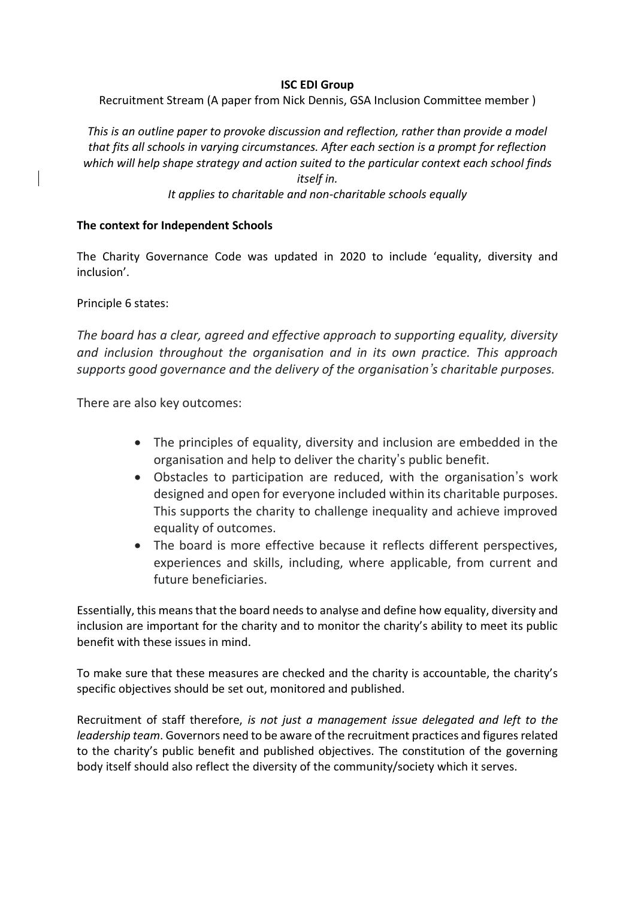### **ISC EDI Group**

Recruitment Stream (A paper from Nick Dennis, GSA Inclusion Committee member )

*This is an outline paper to provoke discussion and reflection, rather than provide a model that fits all schools in varying circumstances. After each section is a prompt for reflection which will help shape strategy and action suited to the particular context each school finds itself in.*

*It applies to charitable and non-charitable schools equally*

## **The context for Independent Schools**

The Charity Governance Code was updated in 2020 to include 'equality, diversity and inclusion'.

Principle 6 states:

*The board has a clear, agreed and effective approach to supporting equality, diversity and inclusion throughout the organisation and in its own practice. This approach supports good governance and the delivery of the organisation's charitable purposes.*

There are also key outcomes:

- The principles of equality, diversity and inclusion are embedded in the organisation and help to deliver the charity's public benefit.
- Obstacles to participation are reduced, with the organisation's work designed and open for everyone included within its charitable purposes. This supports the charity to challenge inequality and achieve improved equality of outcomes.
- The board is more effective because it reflects different perspectives, experiences and skills, including, where applicable, from current and future beneficiaries.

Essentially, this means that the board needs to analyse and define how equality, diversity and inclusion are important for the charity and to monitor the charity's ability to meet its public benefit with these issues in mind.

To make sure that these measures are checked and the charity is accountable, the charity's specific objectives should be set out, monitored and published.

Recruitment of staff therefore, *is not just a management issue delegated and left to the leadership team*. Governors need to be aware of the recruitment practices and figures related to the charity's public benefit and published objectives. The constitution of the governing body itself should also reflect the diversity of the community/society which it serves.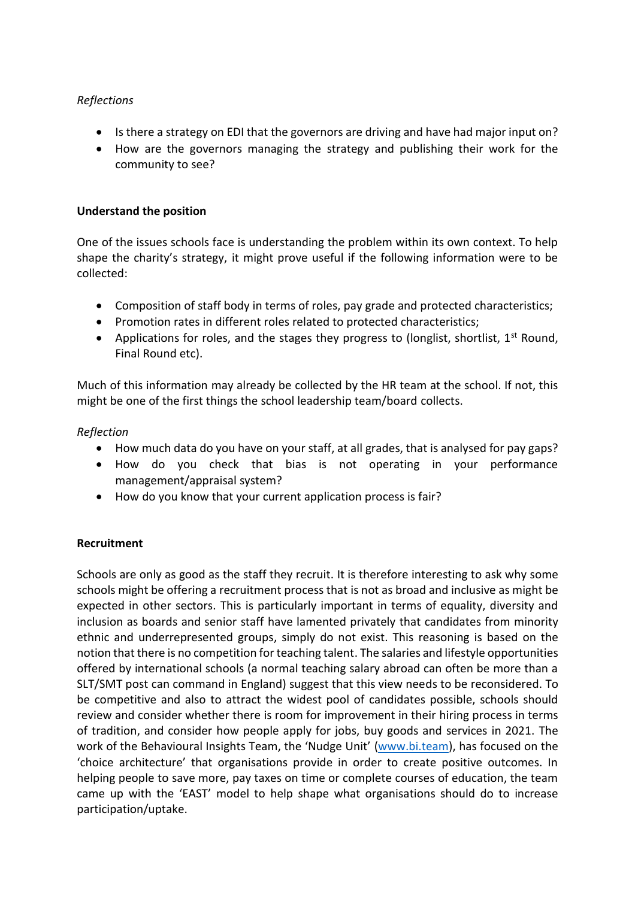# *Reflections*

- Is there a strategy on EDI that the governors are driving and have had major input on?
- How are the governors managing the strategy and publishing their work for the community to see?

## **Understand the position**

One of the issues schools face is understanding the problem within its own context. To help shape the charity's strategy, it might prove useful if the following information were to be collected:

- Composition of staff body in terms of roles, pay grade and protected characteristics;
- Promotion rates in different roles related to protected characteristics;
- Applications for roles, and the stages they progress to (longlist, shortlist,  $1^{st}$  Round, Final Round etc).

Much of this information may already be collected by the HR team at the school. If not, this might be one of the first things the school leadership team/board collects.

## *Reflection*

- How much data do you have on your staff, at all grades, that is analysed for pay gaps?
- How do you check that bias is not operating in your performance management/appraisal system?
- How do you know that your current application process is fair?

# **Recruitment**

Schools are only as good as the staff they recruit. It is therefore interesting to ask why some schools might be offering a recruitment process that is not as broad and inclusive as might be expected in other sectors. This is particularly important in terms of equality, diversity and inclusion as boards and senior staff have lamented privately that candidates from minority ethnic and underrepresented groups, simply do not exist. This reasoning is based on the notion that there is no competition for teaching talent. The salaries and lifestyle opportunities offered by international schools (a normal teaching salary abroad can often be more than a SLT/SMT post can command in England) suggest that this view needs to be reconsidered. To be competitive and also to attract the widest pool of candidates possible, schools should review and consider whether there is room for improvement in their hiring process in terms of tradition, and consider how people apply for jobs, buy goods and services in 2021. The work of the Behavioural Insights Team, the 'Nudge Unit' [\(www.bi.team\)](http://www.bi.team/), has focused on the 'choice architecture' that organisations provide in order to create positive outcomes. In helping people to save more, pay taxes on time or complete courses of education, the team came up with the 'EAST' model to help shape what organisations should do to increase participation/uptake.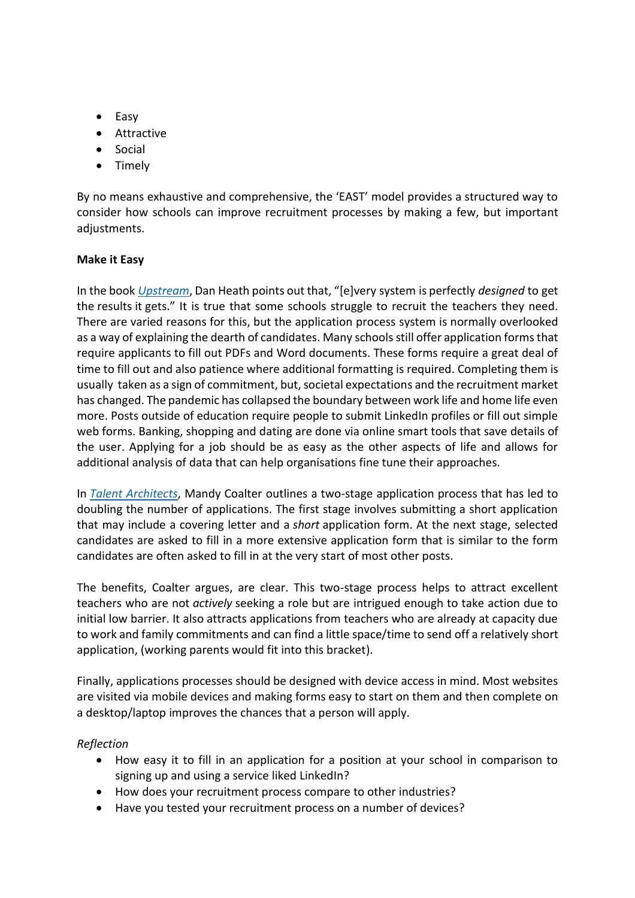- Easy
- Attractive
- Social
- Timely

By no means exhaustive and comprehensive, the 'EAST' model provides a structured way to consider how schools can improve recruitment processes by making a few, but important adjustments.

## **Make it Easy**

In the book *[Upstream](https://www.amazon.co.uk/dp/B07VMVZ9MN/ref=cm_sw_em_r_mt_dp_U_GTzIEbKRYXM63)*, Dan Heath points out that, "[e]very system is perfectly *designed* to get the results it gets." It is true that some schools struggle to recruit the teachers they need. There are varied reasons for this, but the application process system is normally overlooked as a way of explaining the dearth of candidates. Many schools still offer application forms that require applicants to fill out PDFs and Word documents. These forms require a great deal of time to fill out and also patience where additional formatting is required. Completing them is usually taken as a sign of commitment, but, societal expectations and the recruitment market has changed. The pandemic has collapsed the boundary between work life and home life even more. Posts outside of education require people to submit LinkedIn profiles or fill out simple web forms. Banking, shopping and dating are done via online smart tools that save details of the user. Applying for a job should be as easy as the other aspects of life and allows for additional analysis of data that can help organisations fine tune their approaches.

In *[Talent Architects](https://www.amazon.co.uk/Talent-Architects-school-great-place-ebook/dp/B07JNCB5VR/ref=sr_1_1?crid=38BH0CZC3MVP9&dchild=1&keywords=talent+architects&qid=1586076612&sprefix=talent+arc%2Caudible%2C158&sr=8-1)*, Mandy Coalter outlines a two-stage application process that has led to doubling the number of applications. The first stage involves submitting a short application that may include a covering letter and a *short* application form. At the next stage, selected candidates are asked to fill in a more extensive application form that is similar to the form candidates are often asked to fill in at the very start of most other posts.

The benefits, Coalter argues, are clear. This two-stage process helps to attract excellent teachers who are not *actively* seeking a role but are intrigued enough to take action due to initial low barrier. It also attracts applications from teachers who are already at capacity due to work and family commitments and can find a little space/time to send off a relatively short application, (working parents would fit into this bracket).

Finally, applications processes should be designed with device access in mind. Most websites are visited via mobile devices and making forms easy to start on them and then complete on a desktop/laptop improves the chances that a person will apply.

#### *Reflection*

- How easy it to fill in an application for a position at your school in comparison to signing up and using a service liked LinkedIn?
- How does your recruitment process compare to other industries?
- Have you tested your recruitment process on a number of devices?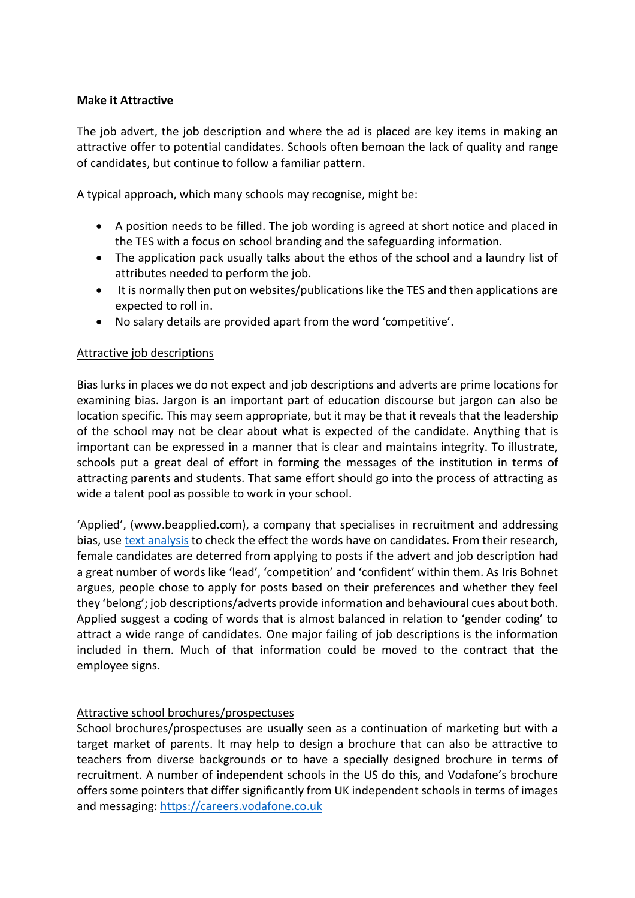# **Make it Attractive**

The job advert, the job description and where the ad is placed are key items in making an attractive offer to potential candidates. Schools often bemoan the lack of quality and range of candidates, but continue to follow a familiar pattern.

A typical approach, which many schools may recognise, might be:

- A position needs to be filled. The job wording is agreed at short notice and placed in the TES with a focus on school branding and the safeguarding information.
- The application pack usually talks about the ethos of the school and a laundry list of attributes needed to perform the job.
- It is normally then put on websites/publications like the TES and then applications are expected to roll in.
- No salary details are provided apart from the word 'competitive'.

#### Attractive job descriptions

Bias lurks in places we do not expect and job descriptions and adverts are prime locations for examining bias. Jargon is an important part of education discourse but jargon can also be location specific. This may seem appropriate, but it may be that it reveals that the leadership of the school may not be clear about what is expected of the candidate. Anything that is important can be expressed in a manner that is clear and maintains integrity. To illustrate, schools put a great deal of effort in forming the messages of the institution in terms of attracting parents and students. That same effort should go into the process of attracting as wide a talent pool as possible to work in your school.

'Applied', (www.beapplied.com), a company that specialises in recruitment and addressing bias, use [text analysis](https://textanalysis.beapplied.com/) to check the effect the words have on candidates. From their research, female candidates are deterred from applying to posts if the advert and job description had a great number of words like 'lead', 'competition' and 'confident' within them. As Iris Bohnet argues, people chose to apply for posts based on their preferences and whether they feel they 'belong'; job descriptions/adverts provide information and behavioural cues about both. Applied suggest a coding of words that is almost balanced in relation to 'gender coding' to attract a wide range of candidates. One major failing of job descriptions is the information included in them. Much of that information could be moved to the contract that the employee signs.

#### Attractive school brochures/prospectuses

School brochures/prospectuses are usually seen as a continuation of marketing but with a target market of parents. It may help to design a brochure that can also be attractive to teachers from diverse backgrounds or to have a specially designed brochure in terms of recruitment. A number of independent schools in the US do this, and Vodafone's brochure offers some pointers that differ significantly from UK independent schools in terms of images and messaging: [https://careers.vodafone.co.uk](https://careers.vodafone.co.uk/)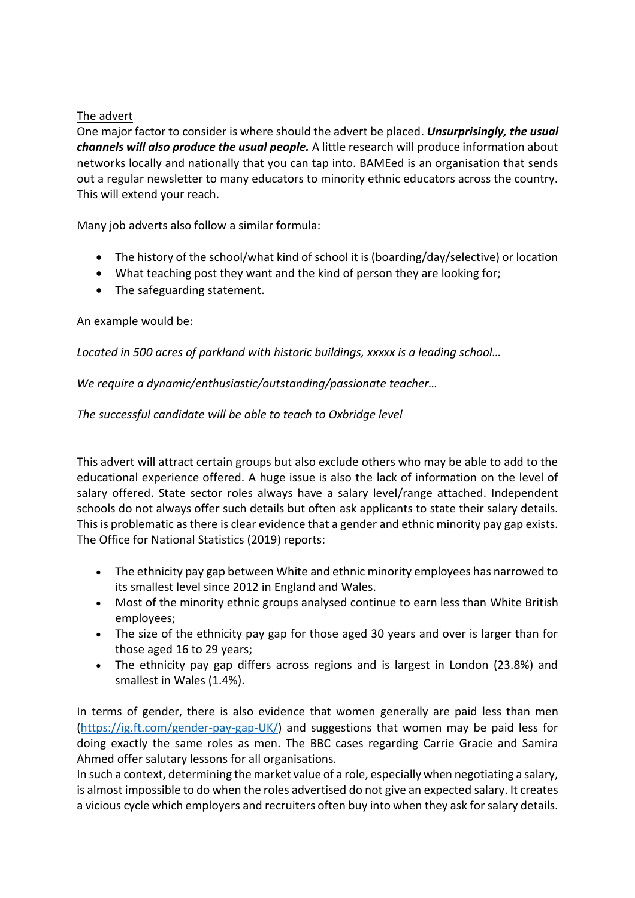# The advert

One major factor to consider is where should the advert be placed. *Unsurprisingly, the usual channels will also produce the usual people.* A little research will produce information about networks locally and nationally that you can tap into. BAMEed is an organisation that sends out a regular newsletter to many educators to minority ethnic educators across the country. This will extend your reach.

Many job adverts also follow a similar formula:

- The history of the school/what kind of school it is (boarding/day/selective) or location
- What teaching post they want and the kind of person they are looking for;
- The safeguarding statement.

# An example would be:

*Located in 500 acres of parkland with historic buildings, xxxxx is a leading school…*

*We require a dynamic/enthusiastic/outstanding/passionate teacher…*

*The successful candidate will be able to teach to Oxbridge level*

This advert will attract certain groups but also exclude others who may be able to add to the educational experience offered. A huge issue is also the lack of information on the level of salary offered. State sector roles always have a salary level/range attached. Independent schools do not always offer such details but often ask applicants to state their salary details. This is problematic as there is clear evidence that a gender and ethnic minority pay gap exists. The Office for National Statistics (2019) reports:

- The ethnicity pay gap between White and ethnic minority employees has narrowed to its smallest level since 2012 in England and Wales.
- Most of the minority ethnic groups analysed continue to earn less than White British employees;
- The size of the ethnicity pay gap for those aged 30 years and over is larger than for those aged 16 to 29 years;
- The ethnicity pay gap differs across regions and is largest in London (23.8%) and smallest in Wales (1.4%).

In terms of gender, there is also evidence that women generally are paid less than men [\(https://ig.ft.com/gender-pay-gap-UK/\)](https://ig.ft.com/gender-pay-gap-UK/) and suggestions that women may be paid less for doing exactly the same roles as men. The BBC cases regarding Carrie Gracie and Samira Ahmed offer salutary lessons for all organisations.

In such a context, determining the market value of a role, especially when negotiating a salary, is almost impossible to do when the roles advertised do not give an expected salary. It creates a vicious cycle which employers and recruiters often buy into when they ask for salary details.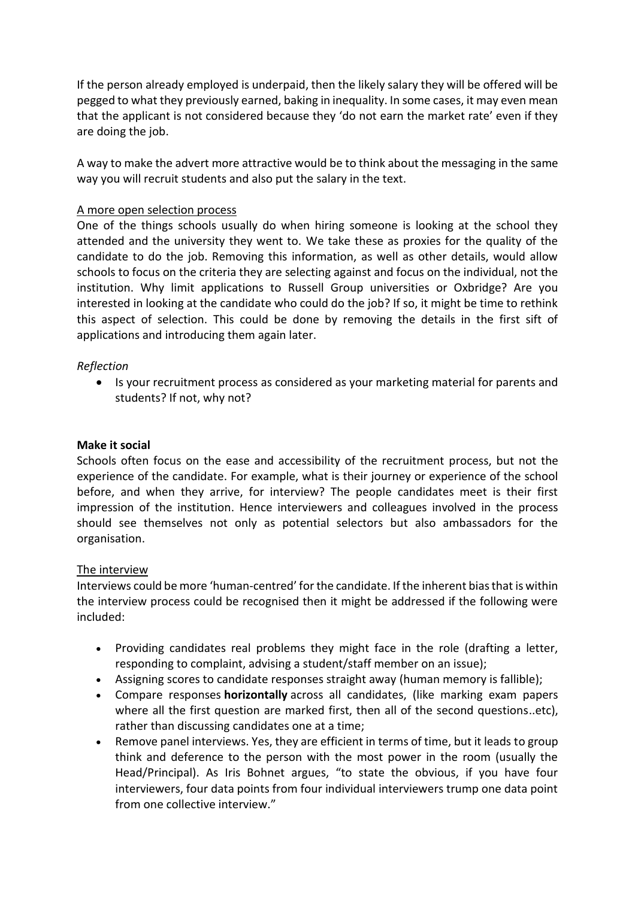If the person already employed is underpaid, then the likely salary they will be offered will be pegged to what they previously earned, baking in inequality. In some cases, it may even mean that the applicant is not considered because they 'do not earn the market rate' even if they are doing the job.

A way to make the advert more attractive would be to think about the messaging in the same way you will recruit students and also put the salary in the text.

# A more open selection process

One of the things schools usually do when hiring someone is looking at the school they attended and the university they went to. We take these as proxies for the quality of the candidate to do the job. Removing this information, as well as other details, would allow schools to focus on the criteria they are selecting against and focus on the individual, not the institution. Why limit applications to Russell Group universities or Oxbridge? Are you interested in looking at the candidate who could do the job? If so, it might be time to rethink this aspect of selection. This could be done by removing the details in the first sift of applications and introducing them again later.

## *Reflection*

• Is your recruitment process as considered as your marketing material for parents and students? If not, why not?

#### **Make it social**

Schools often focus on the ease and accessibility of the recruitment process, but not the experience of the candidate. For example, what is their journey or experience of the school before, and when they arrive, for interview? The people candidates meet is their first impression of the institution. Hence interviewers and colleagues involved in the process should see themselves not only as potential selectors but also ambassadors for the organisation.

#### The interview

Interviews could be more 'human-centred' for the candidate. If the inherent bias that is within the interview process could be recognised then it might be addressed if the following were included:

- Providing candidates real problems they might face in the role (drafting a letter, responding to complaint, advising a student/staff member on an issue);
- Assigning scores to candidate responses straight away (human memory is fallible);
- Compare responses **horizontally** across all candidates, (like marking exam papers where all the first question are marked first, then all of the second questions..etc), rather than discussing candidates one at a time;
- Remove panel interviews. Yes, they are efficient in terms of time, but it leads to group think and deference to the person with the most power in the room (usually the Head/Principal). As Iris Bohnet argues, "to state the obvious, if you have four interviewers, four data points from four individual interviewers trump one data point from one collective interview."